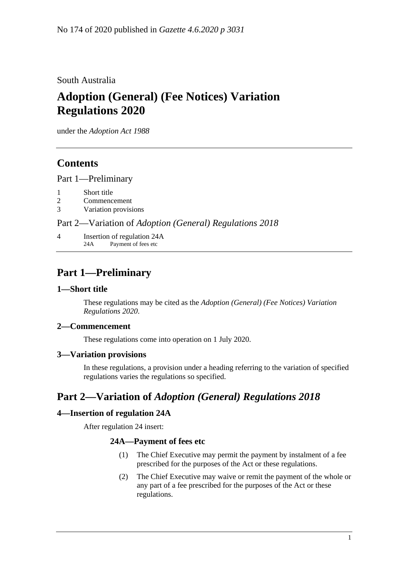### South Australia

# **Adoption (General) (Fee Notices) Variation Regulations 2020**

under the *Adoption Act 1988*

## **Contents**

Part [1—Preliminary](#page-0-0)

- 1 [Short title](#page-0-1)
- 2 [Commencement](#page-0-2)
- 3 [Variation provisions](#page-0-3)

Part 2—Variation of *[Adoption \(General\) Regulations](#page-0-4) 2018*

4 [Insertion of regulation 24A](#page-0-5) 24A Payment of fees etc

## <span id="page-0-0"></span>**Part 1—Preliminary**

#### <span id="page-0-1"></span>**1—Short title**

These regulations may be cited as the *Adoption (General) (Fee Notices) Variation Regulations 2020*.

### <span id="page-0-2"></span>**2—Commencement**

These regulations come into operation on 1 July 2020.

#### <span id="page-0-3"></span>**3—Variation provisions**

In these regulations, a provision under a heading referring to the variation of specified regulations varies the regulations so specified.

## <span id="page-0-4"></span>**Part 2—Variation of** *Adoption (General) Regulations 2018*

### <span id="page-0-5"></span>**4—Insertion of regulation 24A**

After regulation 24 insert:

#### **24A—Payment of fees etc**

- (1) The Chief Executive may permit the payment by instalment of a fee prescribed for the purposes of the Act or these regulations.
- (2) The Chief Executive may waive or remit the payment of the whole or any part of a fee prescribed for the purposes of the Act or these regulations.